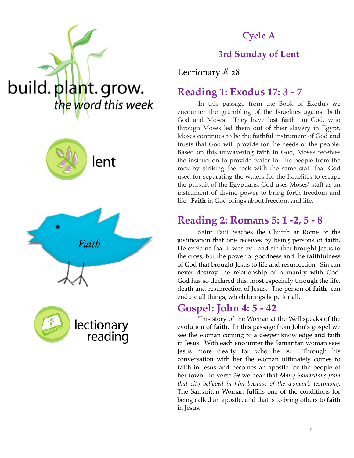







### **Cycle A**

### **3rd Sunday of Lent**

Lectionary # 28

### **Reading 1: Exodus 17: 3 - 7**

In this passage from the Book of Exodus we encounter the grumbling of the Israelites against both God and Moses. They have lost **faith** in God, who through Moses led them out of their slavery in Egypt. Moses continues to be the faithful instrument of God and trusts that God will provide for the needs of the people. Based on this unwavering **faith** in God, Moses receives the instruction to provide water for the people from the rock by striking the rock with the same staff that God used for separating the waters for the Israelites to escape the pursuit of the Egyptians. God uses Moses' staff as an instrument of divine power to bring forth freedom and life. **Faith** in God brings about freedom and life.

### **Reading 2: Romans 5: 1 -2, 5 - 8**

Saint Paul teaches the Church at Rome of the justification that one receives by being persons of **faith.**  He explains that it was evil and sin that brought Jesus to the cross, but the power of goodness and the **faith**fulness of God that brought Jesus to life and resurrection. Sin can never destroy the relationship of humanity with God. God has so declared this, most especially through the life, death and resurrection of Jesus. The person of **faith** can endure all things, which brings hope for all.

### **Gospel: John 4: 5 - 42**

This story of the Woman at the Well speaks of the evolution of **faith.** In this passage from John's gospel we see the woman coming to a deeper knowledge and faith in Jesus. With each encounter the Samaritan woman sees Jesus more clearly for who he is. Through his conversation with her the woman ultimately comes to **faith** in Jesus and becomes an apostle for the people of her town. In verse 39 we hear that *Many Samaritans from that city believed in him because of the woman's testimony.*  The Samaritan Woman fulfills one of the conditions for being called an apostle, and that is to bring others to **faith**  in Jesus.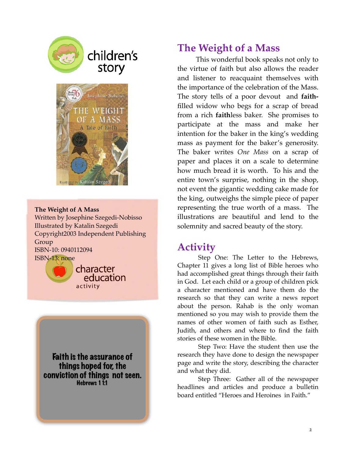

# children's story



#### **The Weight of A Mass**

Written by Josephine Szegedi-Nobisso Illustrated by Katalin Szegedi Copyright2003 Independent Publishing Group ISBN-10: 0940112094 ISBN-13: none



character education activity

Faith is the assurance of things hoped for, the conviction of things not seen. Hebrews 1 1:1

### **The Weight of a Mass**

This wonderful book speaks not only to the virtue of faith but also allows the reader and listener to reacquaint themselves with the importance of the celebration of the Mass. The story tells of a poor devout and **faith**filled widow who begs for a scrap of bread from a rich **faith**less baker. She promises to participate at the mass and make her intention for the baker in the king's wedding mass as payment for the baker's generosity. The baker writes *One Mass* on a scrap of paper and places it on a scale to determine how much bread it is worth. To his and the entire town's surprise, nothing in the shop, not event the gigantic wedding cake made for the king, outweighs the simple piece of paper representing the true worth of a mass. The illustrations are beautiful and lend to the solemnity and sacred beauty of the story.

### **Activity**

Step One: The Letter to the Hebrews, Chapter 11 gives a long list of Bible heroes who had accomplished great things through their faith in God. Let each child or a group of children pick a character mentioned and have them do the research so that they can write a news report about the person. Rahab is the only woman mentioned so you may wish to provide them the names of other women of faith such as Esther, Judith, and others and where to find the faith stories of these women in the Bible.

Step Two: Have the student then use the research they have done to design the newspaper page and write the story, describing the character and what they did.

Step Three: Gather all of the newspaper headlines and articles and produce a bulletin board entitled "Heroes and Heroines in Faith."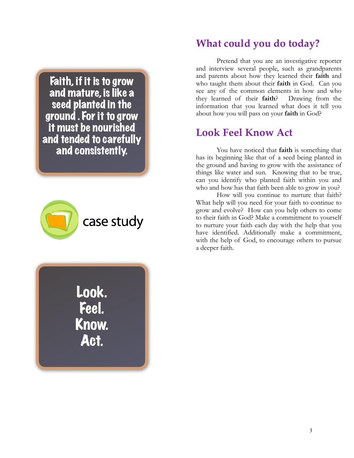Faith, if it is to grow and mature, is like a seed planted in the ground . For it to grow it must be nourished and tended to carefully and consistently.





## **What could you do today?**

 Pretend that you are an investigative reporter and interview several people, such as grandparents and parents about how they learned their **faith** and who taught them about their **faith** in God. Can you see any of the common elements in how and who they learned of their **faith**? Drawing from the information that you learned what does it tell you about how you will pass on your **faith** in God?

## **Look Feel Know Act**

 You have noticed that **faith** is something that has its beginning like that of a seed being planted in the ground and having to grow with the assistance of things like water and sun. Knowing that to be true, can you identify who planted faith within you and who and how has that faith been able to grow in you?

 How will you continue to nurture that faith? What help will you need for your faith to continue to grow and evolve? How can you help others to come to their faith in God? Make a commitment to yourself to nurture your faith each day with the help that you have identified. Additionally make a commitment, with the help of God, to encourage others to pursue a deeper faith.